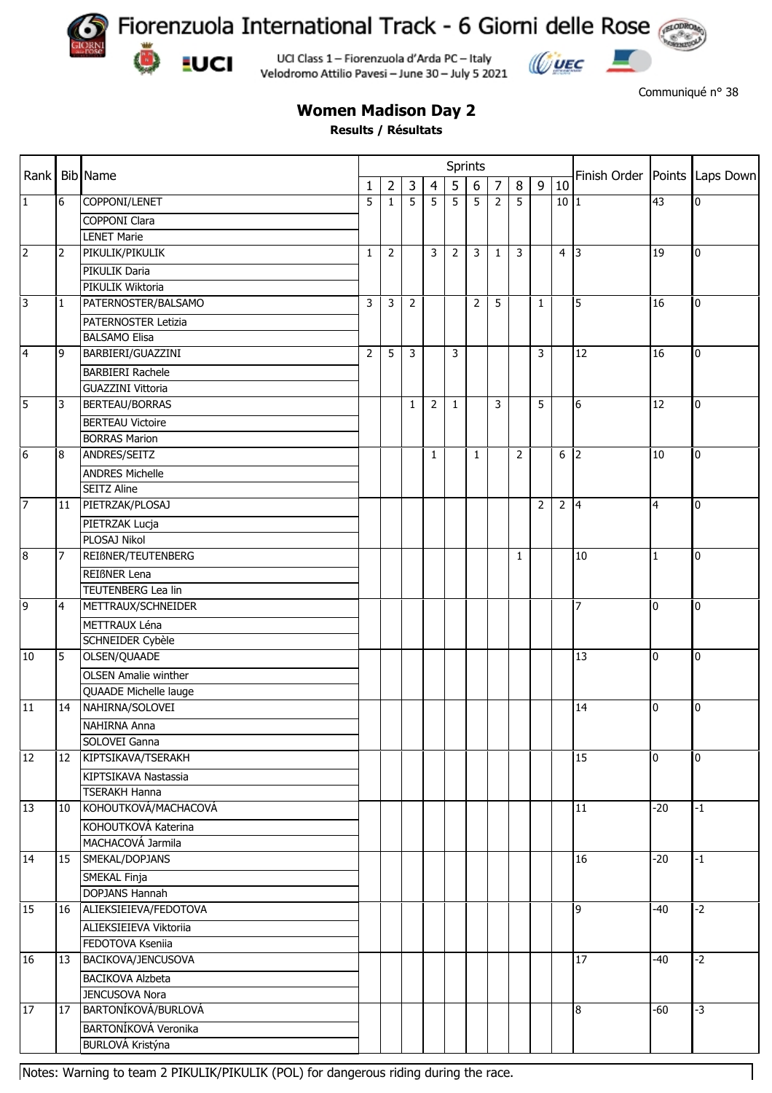

Fiorenzuola International Track - 6 Giorni delle Rose UCI Class 1 - Fiorenzuola d'Arda PC - Italy **EUCI** 



Communiqué n° 38

## **Women Madison Day 2**

Velodromo Attilio Pavesi - June 30 - July 5 2021

**Results / Résultats**

|                 |                | <b>Bib</b> Name                              |                | Sprints        |                |                |                |                |                |                |                |             |                                   |                |      |
|-----------------|----------------|----------------------------------------------|----------------|----------------|----------------|----------------|----------------|----------------|----------------|----------------|----------------|-------------|-----------------------------------|----------------|------|
| Rank            |                |                                              | 1              | $\overline{2}$ | $\overline{3}$ | $\overline{4}$ | 5 <sub>1</sub> | 6              | $\overline{7}$ | 8              | 9              | 10          | Finish Order   Points   Laps Down |                |      |
| 1               | 6              | COPPONI/LENET                                | 5              | $\mathbf{1}$   | 5              | $\overline{5}$ | 5              | $\overline{5}$ | $\overline{2}$ | 5              |                | 10 1        |                                   | 43             | 0    |
|                 |                | <b>COPPONI Clara</b>                         |                |                |                |                |                |                |                |                |                |             |                                   |                |      |
|                 |                | <b>LENET Marie</b>                           |                |                |                |                |                |                |                |                |                |             |                                   |                |      |
| $\overline{2}$  | $\overline{2}$ | PIKULIK/PIKULIK                              | $\mathbf{1}$   | $\overline{2}$ |                | 3              | $\overline{2}$ | 3              | $\mathbf{1}$   | ن              |                | $4 \vert 3$ |                                   | 19             | 0    |
|                 |                | PIKULIK Daria                                |                |                |                |                |                |                |                |                |                |             |                                   |                |      |
|                 |                | PIKULIK Wiktoria                             |                |                |                |                |                |                |                |                |                |             |                                   |                |      |
| 3               | 1              | PATERNOSTER/BALSAMO                          | 3              | 3              | $\overline{2}$ |                |                | $\overline{2}$ | $\overline{5}$ |                | $\mathbf{1}$   |             | 5                                 | 16             | l0   |
|                 |                | PATERNOSTER Letizia                          |                |                |                |                |                |                |                |                |                |             |                                   |                |      |
|                 |                | <b>BALSAMO Elisa</b>                         |                |                |                |                |                |                |                |                |                |             |                                   |                |      |
| $\overline{4}$  | 9              | BARBIERI/GUAZZINI                            | $\overline{2}$ | 5              | 3              |                | 3              |                |                |                | 3              |             | $\overline{12}$                   | 16             | 0    |
|                 |                | <b>BARBIERI Rachele</b>                      |                |                |                |                |                |                |                |                |                |             |                                   |                |      |
|                 |                | <b>GUAZZINI Vittoria</b>                     |                |                |                |                |                |                |                |                |                |             |                                   |                |      |
| 5               | 3              | <b>BERTEAU/BORRAS</b>                        |                |                | $\mathbf{1}$   | 2              | $\mathbf{1}$   |                | 3              |                | 5              |             | $\overline{6}$                    | 12             | 0    |
|                 |                | <b>BERTEAU Victoire</b>                      |                |                |                |                |                |                |                |                |                |             |                                   |                |      |
|                 |                | <b>BORRAS Marion</b>                         |                |                |                |                |                |                |                |                |                |             |                                   |                |      |
| 6               | 8              | ANDRES/SEITZ                                 |                |                |                | $\mathbf{1}$   |                | $\mathbf{1}$   |                | $\overline{2}$ |                | 6           | $\overline{2}$                    | 10             | 0    |
| 7               |                |                                              |                |                |                |                |                |                |                |                |                |             |                                   |                |      |
|                 |                | <b>ANDRES Michelle</b><br><b>SEITZ Aline</b> |                |                |                |                |                |                |                |                |                |             |                                   |                |      |
|                 | 11             | PIETRZAK/PLOSAJ                              |                |                |                |                |                |                |                |                | $\overline{2}$ | $2 \mid 4$  |                                   | $\overline{4}$ | l0   |
|                 |                |                                              |                |                |                |                |                |                |                |                |                |             |                                   |                |      |
|                 |                | PIETRZAK Lucja                               |                |                |                |                |                |                |                |                |                |             |                                   |                |      |
|                 |                | PLOSAJ Nikol                                 |                |                |                |                |                |                |                |                |                |             |                                   |                |      |
| 8               | 17             | REIßNER/TEUTENBERG                           |                |                |                |                |                |                |                | $\mathbf{1}$   |                |             | 10                                | $\mathbf{1}$   | 0    |
|                 |                | <b>REIßNER Lena</b>                          |                |                |                |                |                |                |                |                |                |             |                                   |                |      |
|                 |                | <b>TEUTENBERG Lea lin</b>                    |                |                |                |                |                |                |                |                |                |             |                                   |                |      |
| 9               | $\overline{4}$ | METTRAUX/SCHNEIDER                           |                |                |                |                |                |                |                |                |                |             | 7                                 | 0              | l0   |
|                 |                | METTRAUX Léna                                |                |                |                |                |                |                |                |                |                |             |                                   |                |      |
| 10              |                | SCHNEIDER Cybèle                             |                |                |                |                |                |                |                |                |                |             |                                   |                |      |
|                 | 5              | OLSEN/QUAADE                                 |                |                |                |                |                |                |                |                |                |             | 13                                | $\mathbf{0}$   | 0    |
|                 |                | <b>OLSEN Amalie winther</b>                  |                |                |                |                |                |                |                |                |                |             |                                   |                |      |
|                 |                | QUAADE Michelle lauge                        |                |                |                |                |                |                |                |                |                |             |                                   |                |      |
| $\overline{11}$ | 14             | NAHIRNA/SOLOVEI                              |                |                |                |                |                |                |                |                |                |             | 14                                | $\overline{0}$ | l0   |
|                 |                | NAHIRNA Anna                                 |                |                |                |                |                |                |                |                |                |             |                                   |                |      |
|                 |                | SOLOVEI Ganna                                |                |                |                |                |                |                |                |                |                |             |                                   |                |      |
| 12              | 12             | KIPTSIKAVA/TSERAKH                           |                |                |                |                |                |                |                |                |                |             | 15                                | $\mathbf{0}$   | 0    |
|                 |                | KIPTSIKAVA Nastassia                         |                |                |                |                |                |                |                |                |                |             |                                   |                |      |
|                 |                | <b>TSERAKH Hanna</b>                         |                |                |                |                |                |                |                |                |                |             |                                   |                |      |
| $\overline{13}$ | 10             | KOHOUTKOVÁ/MACHACOVÁ                         |                |                |                |                |                |                |                |                |                |             | $\overline{11}$                   | $-20$          | $-1$ |
|                 |                | KOHOUTKOVÁ Katerina                          |                |                |                |                |                |                |                |                |                |             |                                   |                |      |
|                 |                | MACHACOVÁ Jarmila                            |                |                |                |                |                |                |                |                |                |             |                                   |                |      |
| 14              | 15             | SMEKAL/DOPJANS                               |                |                |                |                |                |                |                |                |                |             | 16                                | $-20$          | $-1$ |
|                 |                | SMEKAL Finja                                 |                |                |                |                |                |                |                |                |                |             |                                   |                |      |
|                 |                | <b>DOPJANS Hannah</b>                        |                |                |                |                |                |                |                |                |                |             |                                   |                |      |
| $\overline{15}$ | 16             | ALIEKSIEIEVA/FEDOTOVA                        |                |                |                |                |                |                |                |                |                |             | l9                                | $-40$          | $-2$ |
|                 |                | ALIEKSIEIEVA Viktoriia                       |                |                |                |                |                |                |                |                |                |             |                                   |                |      |
|                 |                | FEDOTOVA Kseniia                             |                |                |                |                |                |                |                |                |                |             |                                   |                |      |
| 16              | 13             | BACIKOVA/JENCUSOVA                           |                |                |                |                |                |                |                |                |                |             | $\overline{17}$                   | $-40$          | $-2$ |
|                 |                | <b>BACIKOVA Alzbeta</b>                      |                |                |                |                |                |                |                |                |                |             |                                   |                |      |
|                 |                | <b>JENCUSOVA Nora</b>                        |                |                |                |                |                |                |                |                |                |             |                                   |                |      |
| 17              | 17             | BARTONÍKOVÁ/BURLOVÁ                          |                |                |                |                |                |                |                |                |                |             | $\overline{8}$                    | $-60$          | -3   |
|                 |                | BARTONÍKOVÁ Veronika                         |                |                |                |                |                |                |                |                |                |             |                                   |                |      |
|                 |                | BURLOVÁ Kristýna                             |                |                |                |                |                |                |                |                |                |             |                                   |                |      |

Notes: Warning to team 2 PIKULIK/PIKULIK (POL) for dangerous riding during the race.